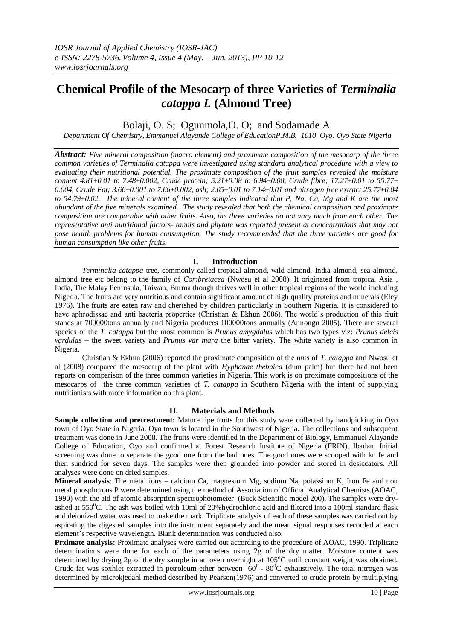# **Chemical Profile of the Mesocarp of three Varieties of** *Terminalia catappa L* **(Almond Tree)**

# Bolaji, O. S: Ogunmola, O. O: and Sodamade A

*Department Of Chemistry, Emmanuel Alayande College of EducationP.M.B. 1010, Oyo. Oyo State Nigeria*

*Abstract: Five mineral composition (macro element) and proximate composition of the mesocarp of the three common varieties of Terminalia catappa were investigated using standard analytical procedure with a view to evaluating their nutritional potential. The proximate composition of the fruit samples revealed the moisture content 4.81±0.01 to 7.48±0.002, Crude protein; 5.21±0.08 to 6.94±0.08, Crude fibre; 17.27±0.01 to 55.77± 0.004, Crude Fat; 3.66±0.001 to 7.66±0.002, ash; 2.05±0.01 to 7.14±0.01 and nitrogen free extract 25.77±0.04 to 54.79±0.02. The mineral content of the three samples indicated that P, Na, Ca, Mg and K are the most abundant of the five minerals examined. The study revealed that both the chemical composition and proximate composition are comparable with other fruits. Also, the three varieties do not vary much from each other. The representative anti nutritional factors- tannis and phytate was reported present at concentrations that may not pose health problems for human consumption. The study recommended that the three varieties are good for human consumption like other fruits.*

## **I. Introduction**

*Terminalia catappa* tree, commonly called tropical almond, wild almond, India almond, sea almond, almond tree etc belong to the family of *Combretacea* (Nwosu et al 2008). It originated from tropical Asia , India, The Malay Peninsula, Taiwan, Burma though thrives well in other tropical regions of the world including Nigeria. The fruits are very nutritious and contain significant amount of high quality proteins and minerals (Eley 1976). The fruits are eaten raw and cherished by children particularly in Southern Nigeria. It is considered to have aphrodissac and anti bacteria properties (Christian & Ekhun 2006). The world's production of this fruit stands at 700000tons annually and Nigeria produces 100000tons annually (Annongu 2005). There are several species of the *T. catappa* but the most common is *Prunus amygdalus* which has two types viz: *Prunus delcis vardulas –* the sweet variety and *Prunus var mara* the bitter variety. The white variety is also common in Nigeria.

Christian & Ekhun (2006) reported the proximate composition of the nuts of *T. catappa* and Nwosu et al (2008) compared the mesocarp of the plant with *Hyphanae thebaica* (dum palm) but there had not been reports on comparison of the three common varieties in Nigeria. This work is on proximate compositions of the mesocarps of the three common varieties of *T. catappa* in Southern Nigeria with the intent of supplying nutritionists with more information on this plant.

#### **II. Materials and Methods**

**Sample collection and pretreatment:** Mature ripe fruits for this study were collected by handpicking in Oyo town of Oyo State in Nigeria. Oyo town is located in the Southwest of Nigeria. The collections and subsequent treatment was done in June 2008. The fruits were identified in the Department of Biology, Emmanuel Alayande College of Education, Oyo and confirmed at Forest Research Institute of Nigeria (FRIN), Ibadan. Initial screening was done to separate the good one from the bad ones. The good ones were scooped with knife and then sundried for seven days. The samples were then grounded into powder and stored in desiccators. All analyses were done on dried samples.

**Mineral analysis**: The metal ions – calcium Ca, magnesium Mg, sodium Na, potassium K, Iron Fe and non metal phosphorous P were determined using the method of Association of Official Analytical Chemists (AOAC, 1990) with the aid of atomic absorption spectrophotometer (Buck Scientific model 200). The samples were dryashed at 550<sup>°</sup>C. The ash was boiled with 10ml of 20%hydrochloric acid and filtered into a 100ml standard flask and deionized water was used to make the mark. Triplicate analysis of each of these samples was carried out by aspirating the digested samples into the instrument separately and the mean signal responses recorded at each element's respective wavelength. Blank determination was conducted also.

**Prximate analysis:** Proximate analyses were carried out according to the procedure of AOAC, 1990. Triplicate determinations were done for each of the parameters using 2g of the dry matter. Moisture content was determined by drying 2g of the dry sample in an oven overnight at 105°C until constant weight was obtained. Crude fat was soxhlet extracted in petroleum ether between  $60^{\circ}$  -  $80^{\circ}$ C exhaustively. The total nitrogen was determined by microkjedahl method described by Pearson(1976) and converted to crude protein by multiplying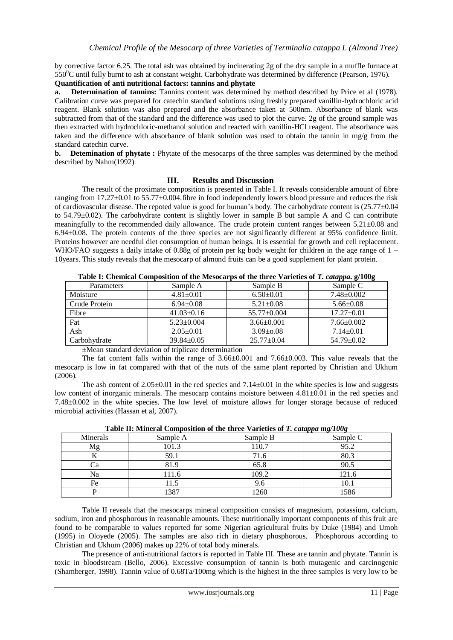by corrective factor 6.25. The total ash was obtained by incinerating 2g of the dry sample in a muffle furnace at  $550^0C$  until fully burnt to ash at constant weight. Carbohydrate was determined by difference (Pearson, 1976).

#### **Quantification of anti nutritional factors: tannins and phytate**

**a. Determination of tannins:** Tannins content was determined by method described by Price et al (1978). Calibration curve was prepared for catechin standard solutions using freshly prepared vanillin-hydrochloric acid reagent. Blank solution was also prepared and the absorbance taken at 500nm. Absorbance of blank was subtracted from that of the standard and the difference was used to plot the curve. 2g of the ground sample was then extracted with hydrochloric-methanol solution and reacted with vanillin-HCl reagent. The absorbance was taken and the difference with absorbance of blank solution was used to obtain the tannin in mg/g from the standard catechin curve.

**b.** Detemination of phytate : Phytate of the mesocarps of the three samples was determined by the method described by Nahm(1992)

## **III. Results and Discussion**

The result of the proximate composition is presented in Table I. It reveals considerable amount of fibre ranging from 17.27±0.01 to 55.77±0.004.fibre in food independently lowers blood pressure and reduces the risk of cardiovascular disease. The repoted value is good for human's body. The carbohydrate content is  $(25.77 \pm 0.04)$ to 54.79±0.02). The carbohydrate content is slightly lower in sample B but sample A and C can contribute meaningfully to the recommended daily allowance. The crude protein content ranges between 5.21±0.08 and 6.94±0.08. The protein contents of the three species are not significantly different at 95% confidence limit. Proteins however are needful diet consumption of human beings. It is essential for growth and cell replacement. WHO/FAO suggests a daily intake of 0.88g of protein per kg body weight for children in the age range of 1 – 10years. This study reveals that the mesocarp of almond fruits can be a good supplement for plant protein.

| Parameters    | Sample A         | Sample B          | $\cdots$<br>$\bullet$<br>Sample C |
|---------------|------------------|-------------------|-----------------------------------|
| Moisture      | $4.81 \pm 0.01$  | $6.50 \pm 0.01$   | $7.48 \pm 0.002$                  |
| Crude Protein | $6.94 \pm 0.08$  | $5.21 \pm 0.08$   | $5.66 \pm 0.08$                   |
| Fibre         | $41.03 \pm 0.16$ | $55.77 \pm 0.004$ | $17.27 \pm 0.01$                  |
| Fat           | $5.23 \pm 0.004$ | $3.66 \pm 0.001$  | $7.66 \pm 0.002$                  |
| Ash           | $2.05 \pm 0.01$  | $3.09 \pm 0.08$   | $7.14 \pm 0.01$                   |
| Carbohydrate  | $39.84 \pm 0.05$ | $25.77 \pm 0.04$  | $54.79 \pm 0.02$                  |

**Table I: Chemical Composition of the Mesocarps of the three Varieties of** *T. catappa***. g/100g**

±Mean standard deviation of triplicate determination

The fat content falls within the range of  $3.66\pm0.001$  and  $7.66\pm0.003$ . This value reveals that the mesocarp is low in fat compared with that of the nuts of the same plant reported by Christian and Ukhum (2006).

The ash content of  $2.05\pm0.01$  in the red species and  $7.14\pm0.01$  in the white species is low and suggests low content of inorganic minerals. The mesocarp contains moisture between  $4.81\pm0.01$  in the red species and 7.48±0.002 in the white species. The low level of moisture allows for longer storage because of reduced microbial activities (Hassan et al, 2007).

| $rrr - \sigma$ |          |          |          |  |  |
|----------------|----------|----------|----------|--|--|
| Minerals       | Sample A | Sample B | Sample C |  |  |
| Μg             | 101.3    | 110.7    | 95.2     |  |  |
|                | 59.1     | 71.6     | 80.3     |  |  |
|                | 81.9     | 65.8     | 90.5     |  |  |
| Na             | 111.6    | 109.2    | 121.6    |  |  |
| Fe             | 11.5     | 9.6      | 10.1     |  |  |
|                | 1387     | 1260     | 1586     |  |  |

**Table II: Mineral Composition of the three Varieties of** *T. catappa mg/100g*

Table II reveals that the mesocarps mineral composition consists of magnesium, potassium, calcium, sodium, iron and phosphorous in reasonable amounts. These nutritionally important components of this fruit are found to be comparable to values reported for some Nigerian agricultural fruits by Duke (1984) and Umoh (1995) in Oloyede (2005). The samples are also rich in dietary phosphorous. Phosphorous according to Christian and Ukhum (2006) makes up 22% of total body minerals.

The presence of anti-nutritional factors is reported in Table III. These are tannin and phytate. Tannin is toxic in bloodstream (Bello, 2006). Excessive consumption of tannin is both mutagenic and carcinogenic (Shamberger, 1998). Tannin value of 0.68Ta/100mg which is the highest in the three samples is very low to be